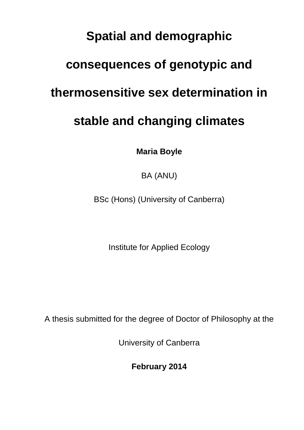# **Spatial and demographic**

## **consequences of genotypic and**

## **thermosensitive sex determination in**

# **stable and changing climates**

**Maria Boyle**

BA (ANU)

BSc (Hons) (University of Canberra)

Institute for Applied Ecology

A thesis submitted for the degree of Doctor of Philosophy at the

University of Canberra

**February 2014**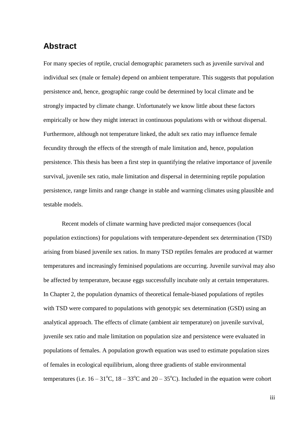#### <span id="page-1-0"></span>**Abstract**

For many species of reptile, crucial demographic parameters such as juvenile survival and individual sex (male or female) depend on ambient temperature. This suggests that population persistence and, hence, geographic range could be determined by local climate and be strongly impacted by climate change. Unfortunately we know little about these factors empirically or how they might interact in continuous populations with or without dispersal. Furthermore, although not temperature linked, the adult sex ratio may influence female fecundity through the effects of the strength of male limitation and, hence, population persistence. This thesis has been a first step in quantifying the relative importance of juvenile survival, juvenile sex ratio, male limitation and dispersal in determining reptile population persistence, range limits and range change in stable and warming climates using plausible and testable models.

Recent models of climate warming have predicted major consequences (local population extinctions) for populations with temperature-dependent sex determination (TSD) arising from biased juvenile sex ratios. In many TSD reptiles females are produced at warmer temperatures and increasingly feminised populations are occurring. Juvenile survival may also be affected by temperature, because eggs successfully incubate only at certain temperatures. In Chapter 2, the population dynamics of theoretical female-biased populations of reptiles with TSD were compared to populations with genotypic sex determination (GSD) using an analytical approach. The effects of climate (ambient air temperature) on juvenile survival, juvenile sex ratio and male limitation on population size and persistence were evaluated in populations of females. A population growth equation was used to estimate population sizes of females in ecological equilibrium, along three gradients of stable environmental temperatures (i.e.  $16 - 31^{\circ}\text{C}$ ,  $18 - 33^{\circ}\text{C}$  and  $20 - 35^{\circ}\text{C}$ ). Included in the equation were cohort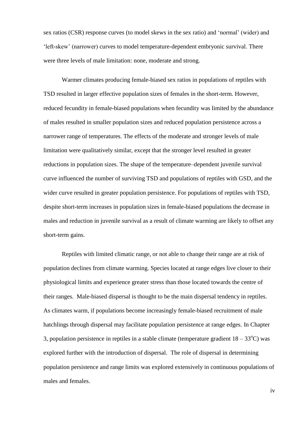sex ratios (CSR) response curves (to model skews in the sex ratio) and 'normal' (wider) and 'left-skew' (narrower) curves to model temperature-dependent embryonic survival. There were three levels of male limitation: none, moderate and strong.

Warmer climates producing female-biased sex ratios in populations of reptiles with TSD resulted in larger effective population sizes of females in the short-term. However, reduced fecundity in female-biased populations when fecundity was limited by the abundance of males resulted in smaller population sizes and reduced population persistence across a narrower range of temperatures. The effects of the moderate and stronger levels of male limitation were qualitatively similar, except that the stronger level resulted in greater reductions in population sizes. The shape of the temperature–dependent juvenile survival curve influenced the number of surviving TSD and populations of reptiles with GSD, and the wider curve resulted in greater population persistence. For populations of reptiles with TSD, despite short-term increases in population sizes in female-biased populations the decrease in males and reduction in juvenile survival as a result of climate warming are likely to offset any short-term gains.

Reptiles with limited climatic range, or not able to change their range are at risk of population declines from climate warming. Species located at range edges live closer to their physiological limits and experience greater stress than those located towards the centre of their ranges. Male-biased dispersal is thought to be the main dispersal tendency in reptiles. As climates warm, if populations become increasingly female-biased recruitment of male hatchlings through dispersal may facilitate population persistence at range edges. In Chapter 3, population persistence in reptiles in a stable climate (temperature gradient  $18 - 33^{\circ}$ C) was explored further with the introduction of dispersal. The role of dispersal in determining population persistence and range limits was explored extensively in continuous populations of males and females.

iv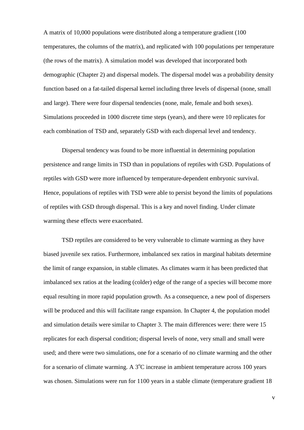A matrix of 10,000 populations were distributed along a temperature gradient (100 temperatures, the columns of the matrix), and replicated with 100 populations per temperature (the rows of the matrix). A simulation model was developed that incorporated both demographic (Chapter 2) and dispersal models. The dispersal model was a probability density function based on a fat-tailed dispersal kernel including three levels of dispersal (none, small and large). There were four dispersal tendencies (none, male, female and both sexes). Simulations proceeded in 1000 discrete time steps (years), and there were 10 replicates for each combination of TSD and, separately GSD with each dispersal level and tendency.

Dispersal tendency was found to be more influential in determining population persistence and range limits in TSD than in populations of reptiles with GSD. Populations of reptiles with GSD were more influenced by temperature-dependent embryonic survival. Hence, populations of reptiles with TSD were able to persist beyond the limits of populations of reptiles with GSD through dispersal. This is a key and novel finding. Under climate warming these effects were exacerbated.

TSD reptiles are considered to be very vulnerable to climate warming as they have biased juvenile sex ratios. Furthermore, imbalanced sex ratios in marginal habitats determine the limit of range expansion, in stable climates. As climates warm it has been predicted that imbalanced sex ratios at the leading (colder) edge of the range of a species will become more equal resulting in more rapid population growth. As a consequence, a new pool of dispersers will be produced and this will facilitate range expansion. In Chapter 4, the population model and simulation details were similar to Chapter 3. The main differences were: there were 15 replicates for each dispersal condition; dispersal levels of none, very small and small were used; and there were two simulations, one for a scenario of no climate warming and the other for a scenario of climate warming. A  $3^{\circ}$ C increase in ambient temperature across 100 years was chosen. Simulations were run for 1100 years in a stable climate (temperature gradient 18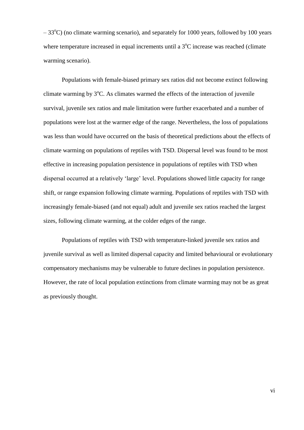$-33^{\circ}$ C) (no climate warming scenario), and separately for 1000 years, followed by 100 years where temperature increased in equal increments until a  $3^{\circ}$ C increase was reached (climate warming scenario).

Populations with female-biased primary sex ratios did not become extinct following climate warming by  $3^{\circ}$ C. As climates warmed the effects of the interaction of juvenile survival, juvenile sex ratios and male limitation were further exacerbated and a number of populations were lost at the warmer edge of the range. Nevertheless, the loss of populations was less than would have occurred on the basis of theoretical predictions about the effects of climate warming on populations of reptiles with TSD. Dispersal level was found to be most effective in increasing population persistence in populations of reptiles with TSD when dispersal occurred at a relatively 'large' level. Populations showed little capacity for range shift, or range expansion following climate warming. Populations of reptiles with TSD with increasingly female-biased (and not equal) adult and juvenile sex ratios reached the largest sizes, following climate warming, at the colder edges of the range.

Populations of reptiles with TSD with temperature-linked juvenile sex ratios and juvenile survival as well as limited dispersal capacity and limited behavioural or evolutionary compensatory mechanisms may be vulnerable to future declines in population persistence. However, the rate of local population extinctions from climate warming may not be as great as previously thought.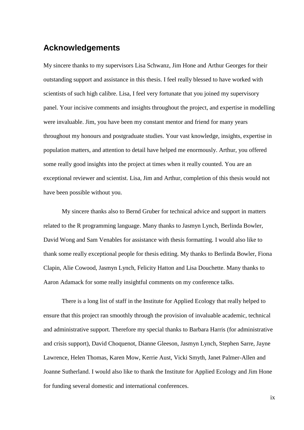#### <span id="page-5-0"></span>**Acknowledgements**

My sincere thanks to my supervisors Lisa Schwanz, Jim Hone and Arthur Georges for their outstanding support and assistance in this thesis. I feel really blessed to have worked with scientists of such high calibre. Lisa, I feel very fortunate that you joined my supervisory panel. Your incisive comments and insights throughout the project, and expertise in modelling were invaluable. Jim, you have been my constant mentor and friend for many years throughout my honours and postgraduate studies. Your vast knowledge, insights, expertise in population matters, and attention to detail have helped me enormously. Arthur, you offered some really good insights into the project at times when it really counted. You are an exceptional reviewer and scientist. Lisa, Jim and Arthur, completion of this thesis would not have been possible without you.

My sincere thanks also to Bernd Gruber for technical advice and support in matters related to the R programming language. Many thanks to Jasmyn Lynch, Berlinda Bowler, David Wong and Sam Venables for assistance with thesis formatting. I would also like to thank some really exceptional people for thesis editing. My thanks to Berlinda Bowler, Fiona Clapin, Alie Cowood, Jasmyn Lynch, Felicity Hatton and Lisa Douchette. Many thanks to Aaron Adamack for some really insightful comments on my conference talks.

There is a long list of staff in the Institute for Applied Ecology that really helped to ensure that this project ran smoothly through the provision of invaluable academic, technical and administrative support. Therefore my special thanks to Barbara Harris (for administrative and crisis support), David Choquenot, Dianne Gleeson, Jasmyn Lynch, Stephen Sarre, Jayne Lawrence, Helen Thomas, Karen Mow, Kerrie Aust, Vicki Smyth, Janet Palmer-Allen and Joanne Sutherland. I would also like to thank the Institute for Applied Ecology and Jim Hone for funding several domestic and international conferences.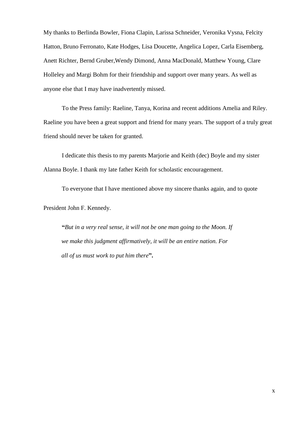My thanks to Berlinda Bowler, Fiona Clapin, Larissa Schneider, Veronika Vysna, Felcity Hatton, Bruno Ferronato, Kate Hodges, Lisa Doucette, Angelica Lopez, Carla Eisemberg, Anett Richter, Bernd Gruber,Wendy Dimond, Anna MacDonald, Matthew Young, Clare Holleley and Margi Bohm for their friendship and support over many years. As well as anyone else that I may have inadvertently missed.

To the Press family: Raeline, Tanya, Korina and recent additions Amelia and Riley. Raeline you have been a great support and friend for many years. The support of a truly great friend should never be taken for granted.

I dedicate this thesis to my parents Marjorie and Keith (dec) Boyle and my sister Alanna Boyle. I thank my late father Keith for scholastic encouragement.

To everyone that I have mentioned above my sincere thanks again, and to quote President John F. Kennedy.

**"***But in a very real sense, it will not be one man going to the Moon. If we make this judgment affirmatively, it will be an entire nation. For all of us must work to put him there***".**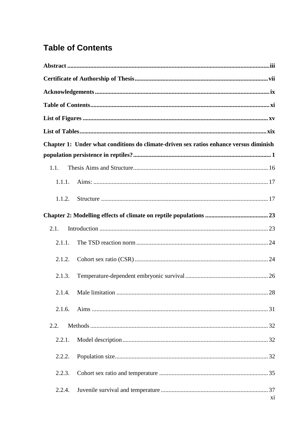## <span id="page-7-0"></span>**Table of Contents**

|        | Chapter 1: Under what conditions do climate-driven sex ratios enhance versus diminish |
|--------|---------------------------------------------------------------------------------------|
|        |                                                                                       |
| 1.1.   |                                                                                       |
| 1.1.1. |                                                                                       |
| 1.1.2. |                                                                                       |
|        |                                                                                       |
| 2.1.   |                                                                                       |
| 2.1.1. |                                                                                       |
| 2.1.2. |                                                                                       |
| 2.1.3. |                                                                                       |
| 2.1.4. |                                                                                       |
| 2.1.6. |                                                                                       |
| 2.2.   |                                                                                       |
| 2.2.1. |                                                                                       |
| 2.2.2. |                                                                                       |
| 2.2.3. |                                                                                       |
| 2.2.4. | X <sub>i</sub>                                                                        |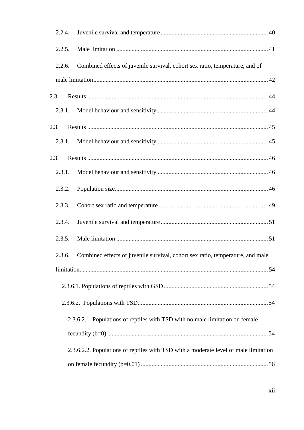| 2.2.4. |                                                                                       |
|--------|---------------------------------------------------------------------------------------|
| 2.2.5. |                                                                                       |
| 2.2.6. | Combined effects of juvenile survival, cohort sex ratio, temperature, and of          |
|        |                                                                                       |
| 2.3.   |                                                                                       |
| 2.3.1. |                                                                                       |
| 2.3.   |                                                                                       |
| 2.3.1. |                                                                                       |
| 2.3.   |                                                                                       |
| 2.3.1. |                                                                                       |
| 2.3.2. |                                                                                       |
| 2.3.3. |                                                                                       |
| 2.3.4. |                                                                                       |
| 2.3.5. |                                                                                       |
|        | 2.3.6. Combined effects of juvenile survival, cohort sex ratio, temperature, and male |
|        |                                                                                       |
|        |                                                                                       |
|        |                                                                                       |
|        | 2.3.6.2.1. Populations of reptiles with TSD with no male limitation on female         |
|        |                                                                                       |
|        | 2.3.6.2.2. Populations of reptiles with TSD with a moderate level of male limitation  |
|        |                                                                                       |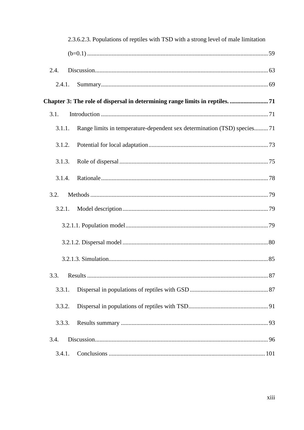| 2.3.6.2.3. Populations of reptiles with TSD with a strong level of male limitation |  |
|------------------------------------------------------------------------------------|--|
|                                                                                    |  |
| 2.4.                                                                               |  |
| 2.4.1.                                                                             |  |
|                                                                                    |  |
| 3.1.                                                                               |  |
| Range limits in temperature-dependent sex determination (TSD) species71<br>3.1.1.  |  |
| 3.1.2.                                                                             |  |
| 3.1.3.                                                                             |  |
| 3.1.4.                                                                             |  |
| 3.2.                                                                               |  |
| 3.2.1.                                                                             |  |
|                                                                                    |  |
|                                                                                    |  |
|                                                                                    |  |
| 3.3.                                                                               |  |
| 3.3.1.                                                                             |  |
| 3.3.2.                                                                             |  |
| 3.3.3.                                                                             |  |
| 3.4.                                                                               |  |
| 3.4.1.                                                                             |  |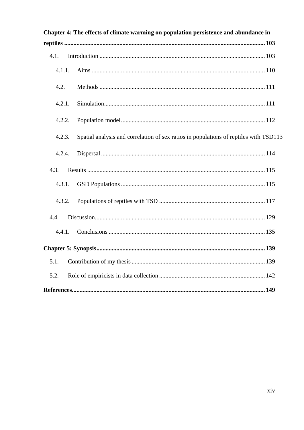|        | Chapter 4: The effects of climate warming on population persistence and abundance in  |
|--------|---------------------------------------------------------------------------------------|
|        |                                                                                       |
| 4.1.   |                                                                                       |
| 4.1.1. |                                                                                       |
| 4.2.   |                                                                                       |
| 4.2.1. |                                                                                       |
| 4.2.2. |                                                                                       |
| 4.2.3. | Spatial analysis and correlation of sex ratios in populations of reptiles with TSD113 |
| 4.2.4. |                                                                                       |
| 4.3.   |                                                                                       |
| 4.3.1. |                                                                                       |
| 4.3.2. |                                                                                       |
| 4.4.   |                                                                                       |
| 4.4.1. |                                                                                       |
|        |                                                                                       |
| 5.1.   |                                                                                       |
| 5.2.   |                                                                                       |
|        |                                                                                       |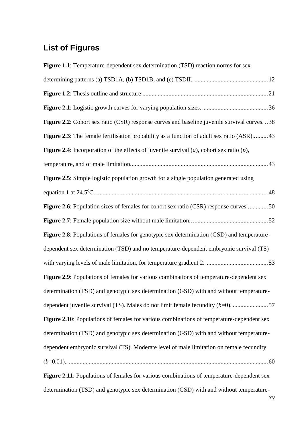### <span id="page-11-0"></span>**List of Figures**

| Figure 1.1: Temperature-dependent sex determination (TSD) reaction norms for sex                       |
|--------------------------------------------------------------------------------------------------------|
|                                                                                                        |
|                                                                                                        |
|                                                                                                        |
| Figure 2.2: Cohort sex ratio (CSR) response curves and baseline juvenile survival curves. 38           |
| Figure 2.3: The female fertilisation probability as a function of adult sex ratio (ASR)43              |
| <b>Figure 2.4</b> : Incorporation of the effects of juvenile survival $(a)$ , cohort sex ratio $(p)$ , |
|                                                                                                        |
| Figure 2.5: Simple logistic population growth for a single population generated using                  |
|                                                                                                        |
| Figure 2.6: Population sizes of females for cohort sex ratio (CSR) response curves50                   |
|                                                                                                        |
| Figure 2.8: Populations of females for genotypic sex determination (GSD) and temperature-              |
| dependent sex determination (TSD) and no temperature-dependent embryonic survival (TS)                 |
|                                                                                                        |
| Figure 2.9: Populations of females for various combinations of temperature-dependent sex               |
| determination (TSD) and genotypic sex determination (GSD) with and without temperature-                |
| dependent juvenile survival (TS). Males do not limit female fecundity $(b=0)$ . 57                     |
| Figure 2.10: Populations of females for various combinations of temperature-dependent sex              |
| determination (TSD) and genotypic sex determination (GSD) with and without temperature-                |
| dependent embryonic survival (TS). Moderate level of male limitation on female fecundity               |
|                                                                                                        |
| Figure 2.11: Populations of females for various combinations of temperature-dependent sex              |

determination (TSD) and genotypic sex determination (GSD) with and without temperature-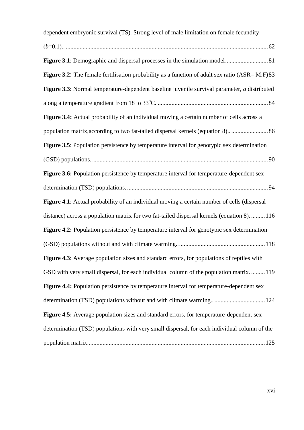| dependent embryonic survival (TS). Strong level of male limitation on female fecundity            |
|---------------------------------------------------------------------------------------------------|
|                                                                                                   |
|                                                                                                   |
| Figure 3.2: The female fertilisation probability as a function of adult sex ratio $(ASR = M:F)83$ |
| Figure 3.3: Normal temperature-dependent baseline juvenile survival parameter, a distributed      |
|                                                                                                   |
| Figure 3.4: Actual probability of an individual moving a certain number of cells across a         |
| population matrix, according to two fat-tailed dispersal kernels (equation 8)86                   |
| Figure 3.5: Population persistence by temperature interval for genotypic sex determination        |
|                                                                                                   |
| Figure 3.6: Population persistence by temperature interval for temperature-dependent sex          |
|                                                                                                   |
| Figure 4.1: Actual probability of an individual moving a certain number of cells (dispersal       |
| distance) across a population matrix for two fat-tailed dispersal kernels (equation 8).  116      |
| Figure 4.2: Population persistence by temperature interval for genotypic sex determination        |
|                                                                                                   |
| Figure 4.3: Average population sizes and standard errors, for populations of reptiles with        |
| GSD with very small dispersal, for each individual column of the population matrix119             |
| Figure 4.4: Population persistence by temperature interval for temperature-dependent sex          |
| determination (TSD) populations without and with climate warming 124                              |
| Figure 4.5: Average population sizes and standard errors, for temperature-dependent sex           |
| determination (TSD) populations with very small dispersal, for each individual column of the      |
|                                                                                                   |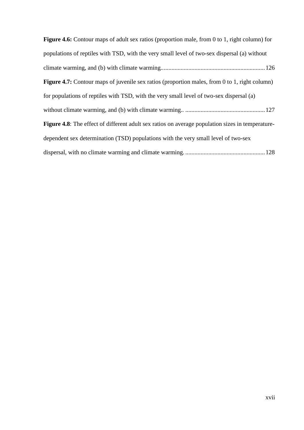| <b>Figure 4.6:</b> Contour maps of adult sex ratios (proportion male, from 0 to 1, right column) for    |
|---------------------------------------------------------------------------------------------------------|
| populations of reptiles with TSD, with the very small level of two-sex dispersal (a) without            |
|                                                                                                         |
| <b>Figure 4.7:</b> Contour maps of juvenile sex ratios (proportion males, from 0 to 1, right column)    |
| for populations of reptiles with TSD, with the very small level of two-sex dispersal (a)                |
|                                                                                                         |
| <b>Figure 4.8:</b> The effect of different adult sex ratios on average population sizes in temperature- |
| dependent sex determination (TSD) populations with the very small level of two-sex                      |
|                                                                                                         |